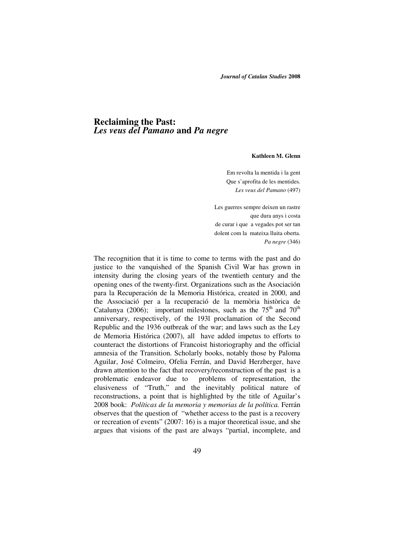## **Reclaiming the Past:**  *Les veus del Pamano* **and** *Pa negre*

## **Kathleen M. Glenn**

Em revolta la mentida i la gent Que s'aprofita de les mentides*. Les veus del Pamano* (497)

 Les guerres sempre deixen un rastre que dura anys i costa de curar i que a vegades pot ser tan dolent com la mateixa lluita oberta. *Pa negre* (346)

The recognition that it is time to come to terms with the past and do justice to the vanquished of the Spanish Civil War has grown in intensity during the closing years of the twentieth century and the opening ones of the twenty-first. Organizations such as the Asociación para la Recuperación de la Memoria Histórica, created in 2000, and the Associació per a la recuperació de la memòria històrica de Catalunya (2006); important milestones, such as the  $75<sup>th</sup>$  and  $70<sup>th</sup>$ anniversary, respectively, of the 193l proclamation of the Second Republic and the 1936 outbreak of the war; and laws such as the Ley de Memoria Histórica (2007), all have added impetus to efforts to counteract the distortions of Francoist historiography and the official amnesia of the Transition. Scholarly books, notably those by Paloma Aguilar, José Colmeiro, Ofelia Ferrán, and David Herzberger, have drawn attention to the fact that recovery/reconstruction of the past is a problematic endeavor due to problems of representation, the elusiveness of "Truth," and the inevitably political nature of reconstructions, a point that is highlighted by the title of Aguilar's 2008 book: *Políticas de la memoria y memorias de la política.* Ferrán observes that the question of "whether access to the past is a recovery or recreation of events" (2007: 16) is a major theoretical issue, and she argues that visions of the past are always "partial, incomplete, and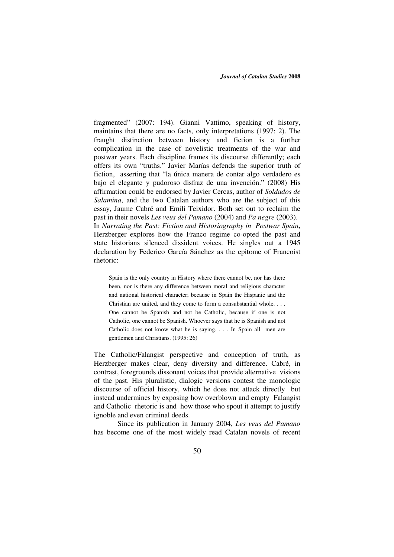fragmented" (2007: 194). Gianni Vattimo, speaking of history, maintains that there are no facts, only interpretations (1997: 2). The fraught distinction between history and fiction is a further complication in the case of novelistic treatments of the war and postwar years. Each discipline frames its discourse differently; each offers its own "truths." Javier Marías defends the superior truth of fiction, asserting that "la única manera de contar algo verdadero es bajo el elegante y pudoroso disfraz de una invención." (2008) His affirmation could be endorsed by Javier Cercas, author of *Soldados de Salamina*, and the two Catalan authors who are the subject of this essay, Jaume Cabré and Emili Teixidor. Both set out to reclaim the past in their novels *Les veus del Pamano* (2004) and *Pa negre* (2003). In *Narrating the Past: Fiction and Historiography in Postwar Spain*, Herzberger explores how the Franco regime co-opted the past and state historians silenced dissident voices. He singles out a 1945 declaration by Federico García Sánchez as the epitome of Francoist rhetoric:

Spain is the only country in History where there cannot be, nor has there been, nor is there any difference between moral and religious character and national historical character; because in Spain the Hispanic and the Christian are united, and they come to form a consubstantial whole. . . . One cannot be Spanish and not be Catholic, because if one is not Catholic, one cannot be Spanish. Whoever says that he is Spanish and not Catholic does not know what he is saying. . . . In Spain all men are gentlemen and Christians. (1995: 26)

The Catholic/Falangist perspective and conception of truth, as Herzberger makes clear, deny diversity and difference. Cabré, in contrast, foregrounds dissonant voices that provide alternative visions of the past. His pluralistic, dialogic versions contest the monologic discourse of official history, which he does not attack directly but instead undermines by exposing how overblown and empty Falangist and Catholic rhetoric is and how those who spout it attempt to justify ignoble and even criminal deeds.

 Since its publication in January 2004, *Les veus del Pamano* has become one of the most widely read Catalan novels of recent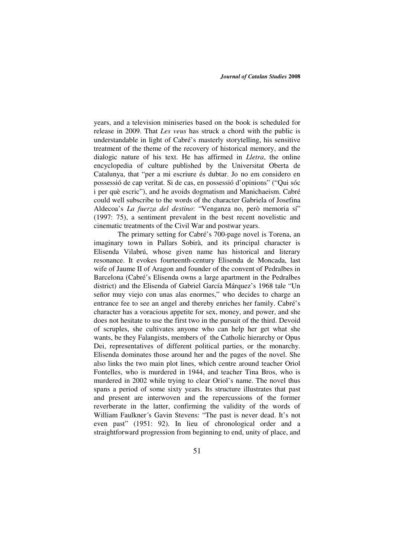years, and a television miniseries based on the book is scheduled for release in 2009. That *Les veus* has struck a chord with the public is understandable in light of Cabré's masterly storytelling, his sensitive treatment of the theme of the recovery of historical memory, and the dialogic nature of his text. He has affirmed in *Lletra*, the online encyclopedia of culture published by the Universitat Oberta de Catalunya, that "per a mi escriure és dubtar. Jo no em considero en possessió de cap veritat. Si de cas, en possessió d'opinions" ("Qui sóc i per què escric"), and he avoids dogmatism and Manichaeism. Cabré could well subscribe to the words of the character Gabriela of Josefina Aldecoa's *La fuerza del destino*: "Venganza no, però memoria sí" (1997: 75), a sentiment prevalent in the best recent novelistic and cinematic treatments of the Civil War and postwar years.

 The primary setting for Cabré's 700-page novel is Torena, an imaginary town in Pallars Sobirà, and its principal character is Elisenda Vilabrú, whose given name has historical and literary resonance. It evokes fourteenth-century Elisenda de Moncada, last wife of Jaume II of Aragon and founder of the convent of Pedralbes in Barcelona (Cabré's Elisenda owns a large apartment in the Pedralbes district) and the Elisenda of Gabriel García Márquez's 1968 tale "Un señor muy viejo con unas alas enormes," who decides to charge an entrance fee to see an angel and thereby enriches her family. Cabré's character has a voracious appetite for sex, money, and power, and she does not hesitate to use the first two in the pursuit of the third. Devoid of scruples, she cultivates anyone who can help her get what she wants, be they Falangists, members of the Catholic hierarchy or Opus Dei, representatives of different political parties, or the monarchy. Elisenda dominates those around her and the pages of the novel. She also links the two main plot lines, which centre around teacher Oriol Fontelles, who is murdered in 1944, and teacher Tina Bros, who is murdered in 2002 while trying to clear Oriol's name. The novel thus spans a period of some sixty years. Its structure illustrates that past and present are interwoven and the repercussions of the former reverberate in the latter, confirming the validity of the words of William Faulkner´s Gavin Stevens: "The past is never dead. It's not even past" (1951: 92). In lieu of chronological order and a straightforward progression from beginning to end, unity of place, and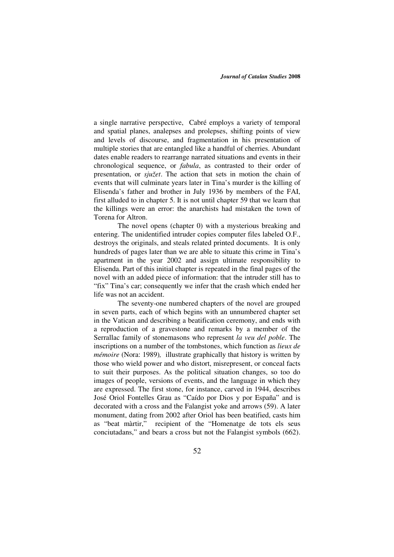a single narrative perspective, Cabré employs a variety of temporal and spatial planes, analepses and prolepses, shifting points of view and levels of discourse, and fragmentation in his presentation of multiple stories that are entangled like a handful of cherries. Abundant dates enable readers to rearrange narrated situations and events in their chronological sequence, or *fabula*, as contrasted to their order of presentation, or *sjužet*. The action that sets in motion the chain of events that will culminate years later in Tina's murder is the killing of Elisenda's father and brother in July 1936 by members of the FAI, first alluded to in chapter 5. It is not until chapter 59 that we learn that the killings were an error: the anarchists had mistaken the town of Torena for Altron.

 The novel opens (chapter 0) with a mysterious breaking and entering. The unidentified intruder copies computer files labeled O.F., destroys the originals, and steals related printed documents. It is only hundreds of pages later than we are able to situate this crime in Tina's apartment in the year 2002 and assign ultimate responsibility to Elisenda. Part of this initial chapter is repeated in the final pages of the novel with an added piece of information: that the intruder still has to "fix" Tina's car; consequently we infer that the crash which ended her life was not an accident.

The seventy-one numbered chapters of the novel are grouped in seven parts, each of which begins with an unnumbered chapter set in the Vatican and describing a beatification ceremony, and ends with a reproduction of a gravestone and remarks by a member of the Serrallac family of stonemasons who represent *la veu del poble*. The inscriptions on a number of the tombstones, which function as *lieux de mémoire* (Nora: 1989)*,* illustrate graphically that history is written by those who wield power and who distort, misrepresent, or conceal facts to suit their purposes. As the political situation changes, so too do images of people, versions of events, and the language in which they are expressed. The first stone, for instance, carved in 1944, describes José Oriol Fontelles Grau as "Caído por Dios y por España" and is decorated with a cross and the Falangist yoke and arrows (59). A later monument, dating from 2002 after Oriol has been beatified, casts him as "beat màrtir," recipient of the "Homenatge de tots els seus conciutadans," and bears a cross but not the Falangist symbols (662).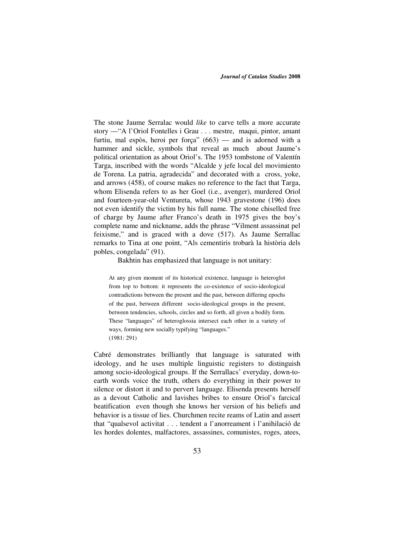The stone Jaume Serralac would *like* to carve tells a more accurate story —"A l'Oriol Fontelles i Grau . . . mestre, maqui, pintor, amant furtiu, mal espòs, heroi per força" (663) — and is adorned with a hammer and sickle, symbols that reveal as much about Jaume's political orientation as about Oriol's. The 1953 tombstone of Valentín Targa, inscribed with the words "Alcalde y jefe local del movimiento de Torena. La patria, agradecida" and decorated with a cross, yoke, and arrows (458), of course makes no reference to the fact that Targa, whom Elisenda refers to as her Goel (i.e., avenger), murdered Oriol and fourteen-year-old Ventureta, whose 1943 gravestone (196) does not even identify the victim by his full name. The stone chiselled free of charge by Jaume after Franco's death in 1975 gives the boy's complete name and nickname, adds the phrase "Vilment assassinat pel feixisme," and is graced with a dove (517). As Jaume Serrallac remarks to Tina at one point, "Als cementiris trobarà la història dels pobles, congelada" (91).

Bakhtin has emphasized that language is not unitary:

At any given moment of its historical existence, language is heteroglot from top to bottom: it represents the co-existence of socio-ideological contradictions between the present and the past, between differing epochs of the past, between different socio-ideological groups in the present, between tendencies, schools, circles and so forth, all given a bodily form. These "languages" of heteroglossia intersect each other in a variety of ways, forming new socially typifying "languages." (1981: 291)

Cabré demonstrates brilliantly that language is saturated with ideology, and he uses multiple linguistic registers to distinguish among socio-ideological groups. If the Serrallacs' everyday, down-toearth words voice the truth, others do everything in their power to silence or distort it and to pervert language. Elisenda presents herself as a devout Catholic and lavishes bribes to ensure Oriol's farcical beatification even though she knows her version of his beliefs and behavior is a tissue of lies. Churchmen recite reams of Latin and assert that "qualsevol activitat . . . tendent a l'anorreament i l'anihilació de les hordes dolentes, malfactores, assassines, comunistes, roges, atees,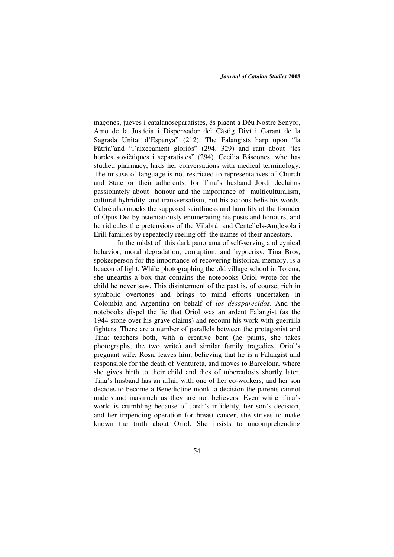maçones, jueves i catalanoseparatistes, és plaent a Déu Nostre Senyor, Amo de la Justícia i Dispensador del Càstig Diví i Garant de la Sagrada Unitat d'Espanya" (212). The Falangists harp upon "la Pàtria"and "l'aixecament gloriós" (294, 329) and rant about "les hordes soviètiques i separatistes" (294). Cecilia Báscones, who has studied pharmacy, lards her conversations with medical terminology. The misuse of language is not restricted to representatives of Church and State or their adherents, for Tina's husband Jordi declaims passionately about honour and the importance of multiculturalism, cultural hybridity, and transversalism, but his actions belie his words. Cabré also mocks the supposed saintliness and humility of the founder of Opus Dei by ostentatiously enumerating his posts and honours, and he ridicules the pretensions of the Vilabrú and Centellels-Anglesola i Erill families by repeatedly reeling off the names of their ancestors.

In the midst of this dark panorama of self-serving and cynical behavior, moral degradation, corruption, and hypocrisy, Tina Bros, spokesperson for the importance of recovering historical memory, is a beacon of light. While photographing the old village school in Torena, she unearths a box that contains the notebooks Oriol wrote for the child he never saw. This disinterment of the past is, of course, rich in symbolic overtones and brings to mind efforts undertaken in Colombia and Argentina on behalf of *los desaparecidos*. And the notebooks dispel the lie that Oriol was an ardent Falangist (as the 1944 stone over his grave claims) and recount his work with guerrilla fighters. There are a number of parallels between the protagonist and Tina: teachers both, with a creative bent (he paints, she takes photographs, the two write) and similar family tragedies. Oriol's pregnant wife, Rosa, leaves him, believing that he is a Falangist and responsible for the death of Ventureta, and moves to Barcelona, where she gives birth to their child and dies of tuberculosis shortly later. Tina's husband has an affair with one of her co-workers, and her son decides to become a Benedictine monk, a decision the parents cannot understand inasmuch as they are not believers. Even while Tina's world is crumbling because of Jordi's infidelity, her son's decision, and her impending operation for breast cancer, she strives to make known the truth about Oriol. She insists to uncomprehending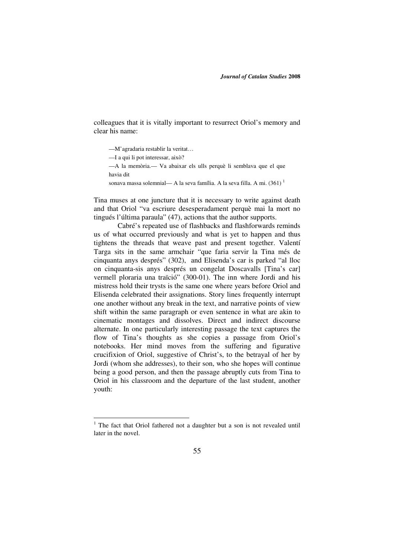colleagues that it is vitally important to resurrect Oriol's memory and clear his name:

- —M'agradaria restablir la veritat…
- —I a qui li pot interessar, això?

-

- —A la memòria.— Va abaixar els ulls perquè li semblava que el que havia dit
- sonava massa solemnial— A la seva família. A la seva filla. A mi.  $(361)^1$

Tina muses at one juncture that it is necessary to write against death and that Oriol "va escriure desesperadament perquè mai la mort no tingués l'última paraula" (47), actions that the author supports.

Cabré's repeated use of flashbacks and flashforwards reminds us of what occurred previously and what is yet to happen and thus tightens the threads that weave past and present together. Valentí Targa sits in the same armchair "que faria servir la Tina més de cinquanta anys després" (302), and Elisenda's car is parked "al lloc on cinquanta-sis anys després un congelat Doscavalls [Tina's car] vermell ploraria una traïció" (300-01). The inn where Jordi and his mistress hold their trysts is the same one where years before Oriol and Elisenda celebrated their assignations. Story lines frequently interrupt one another without any break in the text, and narrative points of view shift within the same paragraph or even sentence in what are akin to cinematic montages and dissolves. Direct and indirect discourse alternate. In one particularly interesting passage the text captures the flow of Tina's thoughts as she copies a passage from Oriol's notebooks. Her mind moves from the suffering and figurative crucifixion of Oriol, suggestive of Christ's, to the betrayal of her by Jordi (whom she addresses), to their son, who she hopes will continue being a good person, and then the passage abruptly cuts from Tina to Oriol in his classroom and the departure of the last student, another youth:

<sup>&</sup>lt;sup>1</sup> The fact that Oriol fathered not a daughter but a son is not revealed until later in the novel.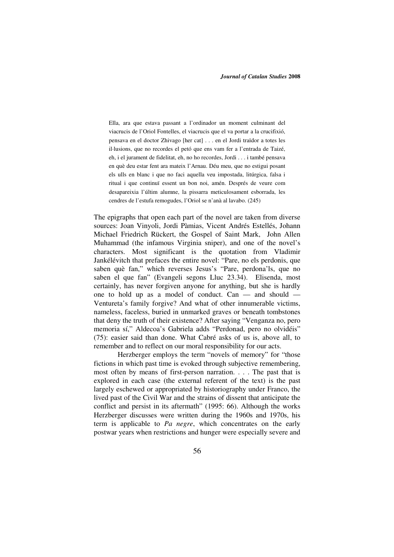Ella, ara que estava passant a l'ordinador un moment culminant del viacrucis de l'Oriol Fontelles, el viacrucis que el va portar a la crucifixió, pensava en el doctor Zhivago [her cat] . . . en el Jordi traïdor a totes les il·lusions, que no recordes el petó que ens vam fer a l'entrada de Taizé, eh, i el jurament de fidelitat, eh, no ho recordes, Jordi . . . i també pensava en què deu estar fent ara mateix l'Arnau. Déu meu, que no estigui posant els ulls en blanc i que no faci aquella veu impostada, litúrgica, falsa i ritual i que continuï essent un bon noi, amén. Després de veure com desapareixia l'últim alumne, la pissarra meticulosament esborrada, les cendres de l'estufa remogudes, l'Oriol se n'anà al lavabo. (245)

The epigraphs that open each part of the novel are taken from diverse sources: Joan Vinyoli, Jordi Pàmias, Vicent Andrés Estellés, Johann Michael Friedrich Rückert, the Gospel of Saint Mark, John Allen Muhammad (the infamous Virginia sniper), and one of the novel's characters. Most significant is the quotation from Vladimir Jankélévitch that prefaces the entire novel: "Pare, no els perdonis, que saben què fan," which reverses Jesus's "Pare, perdona'ls, que no saben el que fan" (Evangeli segons Lluc 23.34). Elisenda, most certainly, has never forgiven anyone for anything, but she is hardly one to hold up as a model of conduct. Can — and should — Ventureta's family forgive? And what of other innumerable victims, nameless, faceless, buried in unmarked graves or beneath tombstones that deny the truth of their existence? After saying "Venganza no, pero memoria sí," Aldecoa's Gabriela adds "Perdonad, pero no olvidéis" (75): easier said than done. What Cabré asks of us is, above all, to remember and to reflect on our moral responsibility for our acts.

 Herzberger employs the term "novels of memory" for "those fictions in which past time is evoked through subjective remembering, most often by means of first-person narration. . . . The past that is explored in each case (the external referent of the text) is the past largely eschewed or appropriated by historiography under Franco, the lived past of the Civil War and the strains of dissent that anticipate the conflict and persist in its aftermath" (1995: 66). Although the works Herzberger discusses were written during the 1960s and 1970s, his term is applicable to *Pa negre*, which concentrates on the early postwar years when restrictions and hunger were especially severe and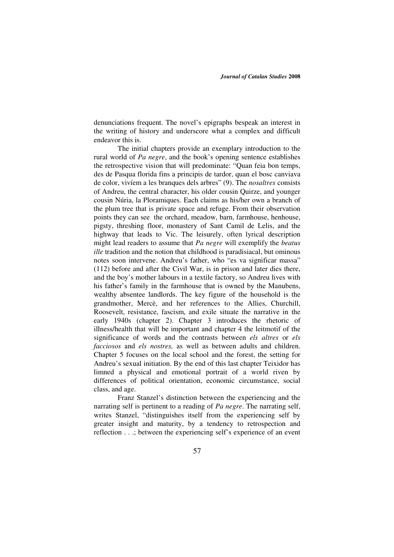denunciations frequent. The novel's epigraphs bespeak an interest in the writing of history and underscore what a complex and difficult endeavor this is.

The initial chapters provide an exemplary introduction to the rural world of *Pa negre*, and the book's opening sentence establishes the retrospective vision that will predominate: "Quan feia bon temps, des de Pasqua florida fins a principis de tardor, quan el bosc canviava de color, vivíem a les branques dels arbres" (9). The *nosaltres* consists of Andreu, the central character, his older cousin Quirze, and younger cousin Núria, la Ploramiques. Each claims as his/her own a branch of the plum tree that is private space and refuge. From their observation points they can see the orchard, meadow, barn, farmhouse, henhouse, pigsty, threshing floor, monastery of Sant Camil de Lelis, and the highway that leads to Vic. The leisurely, often lyrical description might lead readers to assume that *Pa negre* will exemplify the *beatus ille* tradition and the notion that childhood is paradisiacal, but ominous notes soon intervene. Andreu's father, who "es va significar massa" (112) before and after the Civil War, is in prison and later dies there, and the boy's mother labours in a textile factory, so Andreu lives with his father's family in the farmhouse that is owned by the Manubens, wealthy absentee landlords. The key figure of the household is the grandmother, Mercè, and her references to the Allies, Churchill, Roosevelt, resistance, fascism, and exile situate the narrative in the early 1940s (chapter 2). Chapter 3 introduces the rhetoric of illness/health that will be important and chapter 4 the leitmotif of the significance of words and the contrasts between *els altres* or *els facciosos* and *els nostres,* as well as between adults and children. Chapter 5 focuses on the local school and the forest, the setting for Andreu's sexual initiation. By the end of this last chapter Teixidor has limned a physical and emotional portrait of a world riven by differences of political orientation, economic circumstance, social class, and age.

 Franz Stanzel's distinction between the experiencing and the narrating self is pertinent to a reading of *Pa negre*. The narrating self, writes Stanzel, "distinguishes itself from the experiencing self by greater insight and maturity, by a tendency to retrospection and reflection . . .; between the experiencing self's experience of an event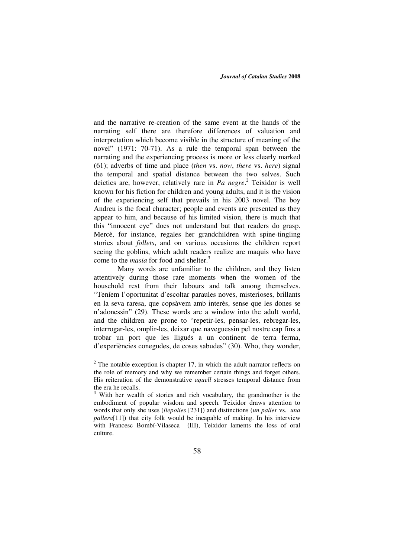and the narrative re-creation of the same event at the hands of the narrating self there are therefore differences of valuation and interpretation which become visible in the structure of meaning of the novel" (1971: 70-71). As a rule the temporal span between the narrating and the experiencing process is more or less clearly marked (61); adverbs of time and place (*then* vs. *now*, *there* vs. *here*) signal the temporal and spatial distance between the two selves. Such deictics are, however, relatively rare in *Pa negre*. 2 Teixidor is well known for his fiction for children and young adults, and it is the vision of the experiencing self that prevails in his 2003 novel. The boy Andreu is the focal character; people and events are presented as they appear to him, and because of his limited vision, there is much that this "innocent eye" does not understand but that readers do grasp. Mercè, for instance, regales her grandchildren with spine-tingling stories about *follets*, and on various occasions the children report seeing the goblins, which adult readers realize are maquis who have come to the *masia* for food and shelter.<sup>3</sup>

Many words are unfamiliar to the children, and they listen attentively during those rare moments when the women of the household rest from their labours and talk among themselves. "Teníem l'oportunitat d'escoltar paraules noves, misterioses, brillants en la seva raresa, que copsàvem amb interès, sense que les dones se n'adonessin" (29). These words are a window into the adult world, and the children are prone to "repetir-les, pensar-les, rebregar-les, interrogar-les, omplir-les, deixar que naveguessin pel nostre cap fins a trobar un port que les lligués a un continent de terra ferma, d'experiències conegudes, de coses sabudes" (30). Who, they wonder,

<sup>&</sup>lt;sup>2</sup> The notable exception is chapter 17, in which the adult narrator reflects on the role of memory and why we remember certain things and forget others. His reiteration of the demonstrative *aquell* stresses temporal distance from the era he recalls.

<sup>&</sup>lt;sup>3</sup> With her wealth of stories and rich vocabulary, the grandmother is the embodiment of popular wisdom and speech. Teixidor draws attention to words that only she uses (*llepolies* [231]) and distinctions (*un paller* vs. *una pallera*[11]) that city folk would be incapable of making. In his interview with Francesc Bombí-Vilaseca (III), Teixidor laments the loss of oral culture.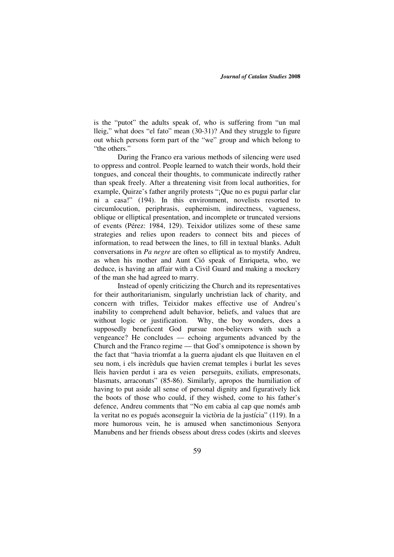is the "putot" the adults speak of, who is suffering from "un mal lleig," what does "el fato" mean (30-31)? And they struggle to figure out which persons form part of the "we" group and which belong to "the others."

During the Franco era various methods of silencing were used to oppress and control. People learned to watch their words, hold their tongues, and conceal their thoughts, to communicate indirectly rather than speak freely. After a threatening visit from local authorities, for example, Quirze's father angrily protests "¡Que no es pugui parlar clar ni a casa!" (194). In this environment, novelists resorted to circumlocution, periphrasis, euphemism, indirectness, vagueness, oblique or elliptical presentation, and incomplete or truncated versions of events (Pérez: 1984, 129). Teixidor utilizes some of these same strategies and relies upon readers to connect bits and pieces of information, to read between the lines, to fill in textual blanks. Adult conversations in *Pa negre* are often so elliptical as to mystify Andreu, as when his mother and Aunt Ció speak of Enriqueta, who, we deduce, is having an affair with a Civil Guard and making a mockery of the man she had agreed to marry.

Instead of openly criticizing the Church and its representatives for their authoritarianism, singularly unchristian lack of charity, and concern with trifles, Teixidor makes effective use of Andreu's inability to comprehend adult behavior, beliefs, and values that are without logic or justification. Why, the boy wonders, does a supposedly beneficent God pursue non-believers with such a vengeance? He concludes — echoing arguments advanced by the Church and the Franco regime — that God's omnipotence is shown by the fact that "havia triomfat a la guerra ajudant els que lluitaven en el seu nom, i els incrèduls que havien cremat temples i burlat les seves lleis havien perdut i ara es veien perseguits, exiliats, empresonats, blasmats, arraconats" (85-86). Similarly, apropos the humiliation of having to put aside all sense of personal dignity and figuratively lick the boots of those who could, if they wished, come to his father's defence, Andreu comments that "No em cabia al cap que només amb la veritat no es pogués aconseguir la victòria de la justícia" (119). In a more humorous vein, he is amused when sanctimonious Senyora Manubens and her friends obsess about dress codes (skirts and sleeves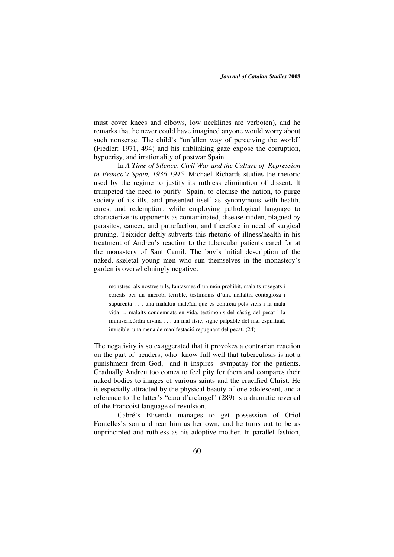must cover knees and elbows, low necklines are verboten), and he remarks that he never could have imagined anyone would worry about such nonsense. The child's "unfallen way of perceiving the world" (Fiedler: 1971, 494) and his unblinking gaze expose the corruption, hypocrisy, and irrationality of postwar Spain.

In *A Time of Silence*: *Civil War and the Culture of Repression in Franco's Spain, 1936-1945*, Michael Richards studies the rhetoric used by the regime to justify its ruthless elimination of dissent. It trumpeted the need to purify Spain, to cleanse the nation, to purge society of its ills, and presented itself as synonymous with health, cures, and redemption, while employing pathological language to characterize its opponents as contaminated, disease-ridden, plagued by parasites, cancer, and putrefaction, and therefore in need of surgical pruning. Teixidor deftly subverts this rhetoric of illness/health in his treatment of Andreu's reaction to the tubercular patients cared for at the monastery of Sant Camil. The boy's initial description of the naked, skeletal young men who sun themselves in the monastery's garden is overwhelmingly negative:

monstres als nostres ulls, fantasmes d'un món prohibit, malalts rosegats i corcats per un microbi terrible, testimonis d'una malaltia contagiosa i supurenta . . . una malaltia maleïda que es contreia pels vicis i la mala vida…, malalts condemnats en vida, testimonis del càstig del pecat i la immisericòrdia divina . . . un mal físic, signe palpable del mal espiritual, invisible, una mena de manifestació repugnant del pecat. (24)

The negativity is so exaggerated that it provokes a contrarian reaction on the part of readers, who know full well that tuberculosis is not a punishment from God, and it inspires sympathy for the patients. Gradually Andreu too comes to feel pity for them and compares their naked bodies to images of various saints and the crucified Christ. He is especially attracted by the physical beauty of one adolescent, and a reference to the latter's "cara d'arcàngel" (289) is a dramatic reversal of the Francoist language of revulsion.

Cabré's Elisenda manages to get possession of Oriol Fontelles's son and rear him as her own, and he turns out to be as unprincipled and ruthless as his adoptive mother. In parallel fashion,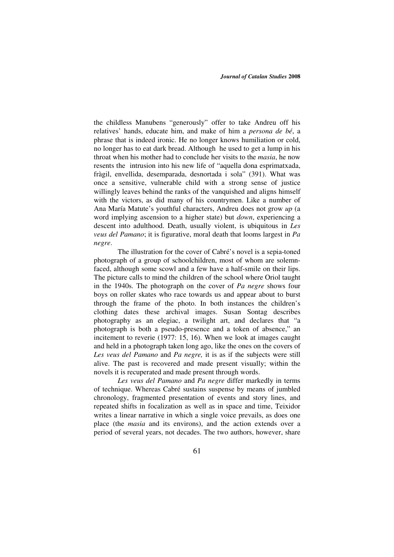the childless Manubens "generously" offer to take Andreu off his relatives' hands, educate him, and make of him a *persona de bé*, a phrase that is indeed ironic. He no longer knows humiliation or cold, no longer has to eat dark bread. Although he used to get a lump in his throat when his mother had to conclude her visits to the *masia*, he now resents the intrusion into his new life of "aquella dona esprimatxada, fràgil, envellida, desemparada, desnortada i sola" (391). What was once a sensitive, vulnerable child with a strong sense of justice willingly leaves behind the ranks of the vanquished and aligns himself with the victors, as did many of his countrymen. Like a number of Ana María Matute's youthful characters, Andreu does not grow *up* (a word implying ascension to a higher state) but *down*, experiencing a descent into adulthood. Death, usually violent, is ubiquitous in *Les veus del Pamano*; it is figurative, moral death that looms largest in *Pa negre*.

The illustration for the cover of Cabré's novel is a sepia-toned photograph of a group of schoolchildren, most of whom are solemnfaced, although some scowl and a few have a half-smile on their lips. The picture calls to mind the children of the school where Oriol taught in the 1940s. The photograph on the cover of *Pa negre* shows four boys on roller skates who race towards us and appear about to burst through the frame of the photo. In both instances the children's clothing dates these archival images. Susan Sontag describes photography as an elegiac, a twilight art, and declares that "a photograph is both a pseudo-presence and a token of absence," an incitement to reverie (1977: 15, 16). When we look at images caught and held in a photograph taken long ago, like the ones on the covers of *Les veus del Pamano* and *Pa negre,* it is as if the subjects were still alive. The past is recovered and made present visually; within the novels it is recuperated and made present through words.

*Les veus del Pamano* and *Pa negre* differ markedly in terms of technique. Whereas Cabré sustains suspense by means of jumbled chronology, fragmented presentation of events and story lines, and repeated shifts in focalization as well as in space and time, Teixidor writes a linear narrative in which a single voice prevails, as does one place (the *masia* and its environs), and the action extends over a period of several years, not decades. The two authors, however, share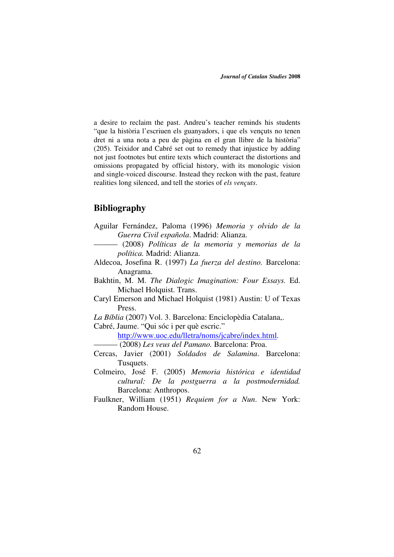a desire to reclaim the past. Andreu's teacher reminds his students "que la història l'escriuen els guanyadors, i que els vençuts no tenen dret ni a una nota a peu de pàgina en el gran llibre de la història" (205). Teixidor and Cabré set out to remedy that injustice by adding not just footnotes but entire texts which counteract the distortions and omissions propagated by official history, with its monologic vision and single-voiced discourse. Instead they reckon with the past, feature realities long silenced, and tell the stories of *els vençuts*.

## **Bibliography**

- Aguilar Fernández, Paloma (1996) *Memoria y olvido de la Guerra Civil española*. Madrid: Alianza.
- ——— (2008) *Políticas de la memoria y memorias de la política.* Madrid: Alianza.
- Aldecoa, Josefina R. (1997) *La fuerza del destino.* Barcelona: Anagrama.
- Bakhtin, M. M. *The Dialogic Imagination: Four Essays.* Ed. Michael Holquist. Trans.
- Caryl Emerson and Michael Holquist (1981) Austin: U of Texas Press.
- *La Bíblia* (2007) Vol. 3. Barcelona: Enciclopèdia Catalana,.

Cabré, Jaume. "Qui sóc i per què escric."

http://www.uoc.edu/lletra/noms/jcabre/index.html.

- ——— (2008) *Les veus del Pamano.* Barcelona: Proa.
- Cercas, Javier (2001) *Soldados de Salamina*. Barcelona: Tusquets.
- Colmeiro, José F. (2005) *Memoria histórica e identidad cultural: De la postguerra a la postmodernidad.* Barcelona: Anthropos.
- Faulkner, William (1951) *Requiem for a Nun*. New York: Random House.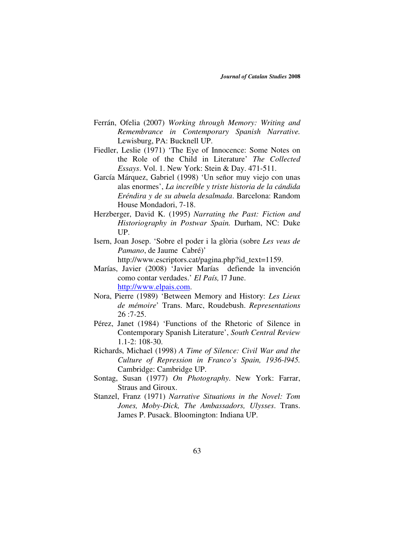- Ferrán, Ofelia (2007) *Working through Memory: Writing and Remembrance in Contemporary Spanish Narrative.* Lewisburg, PA: Bucknell UP.
- Fiedler, Leslie (1971) 'The Eye of Innocence: Some Notes on the Role of the Child in Literature' *The Collected Essays*. Vol. 1. New York: Stein & Day. 471-511.
- García Márquez, Gabriel (1998) 'Un señor muy viejo con unas alas enormes', *La increíble y triste historia de la cándida Eréndira y de su abuela desalmada*. Barcelona: Random House Mondadori, 7-18.
- Herzberger, David K. (1995) *Narrating the Past: Fiction and Historiography in Postwar Spain.* Durham, NC: Duke UP.
- Isern, Joan Josep. 'Sobre el poder i la glòria (sobre *Les veus de Pamano*, de Jaume Cabré)' http://www.escriptors.cat/pagina.php?id\_text=1159.
- Marías, Javier (2008) 'Javier Marías defiende la invención como contar verdades.' *El País,* l7 June. http://www.elpais.com.
- Nora, Pierre (1989) 'Between Memory and History: *Les Lieux de mémoire*' Trans. Marc, Roudebush. *Representations*  26 :7-25.
- Pérez, Janet (1984) 'Functions of the Rhetoric of Silence in Contemporary Spanish Literature', *South Central Review* 1.1-2: 108-30.
- Richards, Michael (1998) *A Time of Silence: Civil War and the Culture of Repression in Franco's Spain, 1936-l945.* Cambridge: Cambridge UP.
- Sontag, Susan (1977) *On Photography*. New York: Farrar, Straus and Giroux.
- Stanzel, Franz (1971) *Narrative Situations in the Novel: Tom Jones, Moby-Dick, The Ambassadors, Ulysses*. Trans. James P. Pusack. Bloomington: Indiana UP.